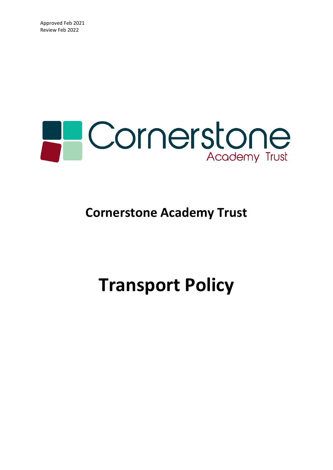

### **Cornerstone Academy Trust**

## **Transport Policy**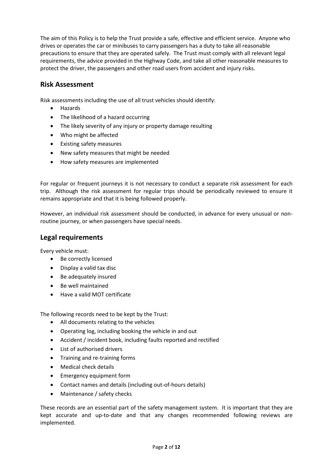The aim of this Policy is to help the Trust provide a safe, effective and efficient service. Anyone who drives or operates the car or minibuses to carry passengers has a duty to take all reasonable precautions to ensure that they are operated safely. The Trust must comply with all relevant legal requirements, the advice provided in the Highway Code, and take all other reasonable measures to protect the driver, the passengers and other road users from accident and injury risks.

#### **Risk Assessment**

Risk assessments including the use of all trust vehicles should identify:

- Hazards
- The likelihood of a hazard occurring
- The likely severity of any injury or property damage resulting
- Who might be affected
- Existing safety measures
- New safety measures that might be needed
- How safety measures are implemented

For regular or frequent journeys it is not necessary to conduct a separate risk assessment for each trip. Although the risk assessment for regular trips should be periodically reviewed to ensure it remains appropriate and that it is being followed properly.

However, an individual risk assessment should be conducted, in advance for every unusual or nonroutine journey, or when passengers have special needs.

#### **Legal requirements**

Every vehicle must:

- Be correctly licensed
- Display a valid tax disc
- Be adequately insured
- Be well maintained
- Have a valid MOT certificate

The following records need to be kept by the Trust:

- All documents relating to the vehicles
- Operating log, including booking the vehicle in and out
- Accident / incident book, including faults reported and rectified
- List of authorised drivers
- Training and re-training forms
- Medical check details
- Emergency equipment form
- Contact names and details (including out-of-hours details)
- Maintenance / safety checks

These records are an essential part of the safety management system. It is important that they are kept accurate and up-to-date and that any changes recommended following reviews are implemented.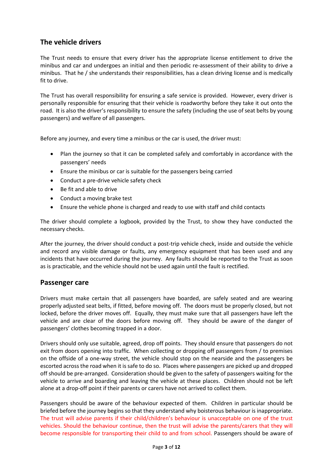#### **The vehicle drivers**

The Trust needs to ensure that every driver has the appropriate license entitlement to drive the minibus and car and undergoes an initial and then periodic re-assessment of their ability to drive a minibus. That he / she understands their responsibilities, has a clean driving license and is medically fit to drive.

The Trust has overall responsibility for ensuring a safe service is provided. However, every driver is personally responsible for ensuring that their vehicle is roadworthy before they take it out onto the road. It is also the driver's responsibility to ensure the safety (including the use of seat belts by young passengers) and welfare of all passengers.

Before any journey, and every time a minibus or the car is used, the driver must:

- Plan the journey so that it can be completed safely and comfortably in accordance with the passengers' needs
- Ensure the minibus or car is suitable for the passengers being carried
- Conduct a pre-drive vehicle safety check
- Be fit and able to drive
- Conduct a moving brake test
- Ensure the vehicle phone is charged and ready to use with staff and child contacts

The driver should complete a logbook, provided by the Trust, to show they have conducted the necessary checks.

After the journey, the driver should conduct a post-trip vehicle check, inside and outside the vehicle and record any visible damage or faults, any emergency equipment that has been used and any incidents that have occurred during the journey. Any faults should be reported to the Trust as soon as is practicable, and the vehicle should not be used again until the fault is rectified.

#### **Passenger care**

Drivers must make certain that all passengers have boarded, are safely seated and are wearing properly adjusted seat belts, if fitted, before moving off. The doors must be properly closed, but not locked, before the driver moves off. Equally, they must make sure that all passengers have left the vehicle and are clear of the doors before moving off. They should be aware of the danger of passengers' clothes becoming trapped in a door.

Drivers should only use suitable, agreed, drop off points. They should ensure that passengers do not exit from doors opening into traffic. When collecting or dropping off passengers from / to premises on the offside of a one-way street, the vehicle should stop on the nearside and the passengers be escorted across the road when it is safe to do so. Places where passengers are picked up and dropped off should be pre-arranged. Consideration should be given to the safety of passengers waiting for the vehicle to arrive and boarding and leaving the vehicle at these places. Children should not be left alone at a drop-off point if their parents or carers have not arrived to collect them.

Passengers should be aware of the behaviour expected of them. Children in particular should be briefed before the journey begins so that they understand why boisterous behaviour is inappropriate. The trust will advise parents if their child/children's behaviour is unacceptable on one of the trust vehicles. Should the behaviour continue, then the trust will advise the parents/carers that they will become responsible for transporting their child to and from school. Passengers should be aware of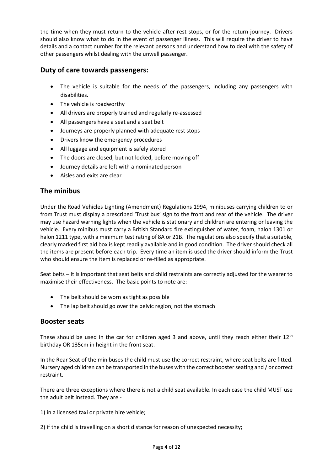the time when they must return to the vehicle after rest stops, or for the return journey. Drivers should also know what to do in the event of passenger illness. This will require the driver to have details and a contact number for the relevant persons and understand how to deal with the safety of other passengers whilst dealing with the unwell passenger.

#### **Duty of care towards passengers:**

- The vehicle is suitable for the needs of the passengers, including any passengers with disabilities.
- The vehicle is roadworthy
- All drivers are properly trained and regularly re-assessed
- All passengers have a seat and a seat belt
- Journeys are properly planned with adequate rest stops
- Drivers know the emergency procedures
- All luggage and equipment is safely stored
- The doors are closed, but not locked, before moving off
- Journey details are left with a nominated person
- Aisles and exits are clear

#### **The minibus**

Under the Road Vehicles Lighting (Amendment) Regulations 1994, minibuses carrying children to or from Trust must display a prescribed 'Trust bus' sign to the front and rear of the vehicle. The driver may use hazard warning lights when the vehicle is stationary and children are entering or leaving the vehicle. Every minibus must carry a British Standard fire extinguisher of water, foam, halon 1301 or halon 1211 type, with a minimum test rating of 8A or 21B. The regulations also specify that a suitable, clearly marked first aid box is kept readily available and in good condition. The driver should check all the items are present before each trip. Every time an item is used the driver should inform the Trust who should ensure the item is replaced or re-filled as appropriate.

Seat belts – It is important that seat belts and child restraints are correctly adjusted for the wearer to maximise their effectiveness. The basic points to note are:

- The belt should be worn as tight as possible
- The lap belt should go over the pelvic region, not the stomach

#### **Booster seats**

These should be used in the car for children aged 3 and above, until they reach either their 12<sup>th</sup> birthday OR 135cm in height in the front seat.

In the Rear Seat of the minibuses the child must use the correct restraint, where seat belts are fitted. Nursery aged children can be transported in the buses with the correct booster seating and / or correct restraint.

There are three exceptions where there is not a child seat available. In each case the child MUST use the adult belt instead. They are -

1) in a licensed taxi or private hire vehicle;

2) if the child is travelling on a short distance for reason of unexpected necessity;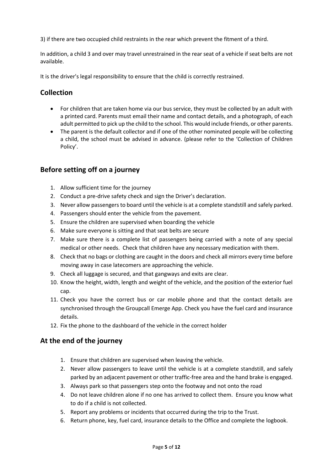3) if there are two occupied child restraints in the rear which prevent the fitment of a third.

In addition, a child 3 and over may travel unrestrained in the rear seat of a vehicle if seat belts are not available.

It is the driver's legal responsibility to ensure that the child is correctly restrained.

#### **Collection**

- For children that are taken home via our bus service, they must be collected by an adult with a printed card. Parents must email their name and contact details, and a photograph, of each adult permitted to pick up the child to the school. This would include friends, or other parents.
- The parent is the default collector and if one of the other nominated people will be collecting a child, the school must be advised in advance. (please refer to the 'Collection of Children Policy'.

#### **Before setting off on a journey**

- 1. Allow sufficient time for the journey
- 2. Conduct a pre-drive safety check and sign the Driver's declaration.
- 3. Never allow passengers to board until the vehicle is at a complete standstill and safely parked.
- 4. Passengers should enter the vehicle from the pavement.
- 5. Ensure the children are supervised when boarding the vehicle
- 6. Make sure everyone is sitting and that seat belts are secure
- 7. Make sure there is a complete list of passengers being carried with a note of any special medical or other needs. Check that children have any necessary medication with them.
- 8. Check that no bags or clothing are caught in the doors and check all mirrors every time before moving away in case latecomers are approaching the vehicle.
- 9. Check all luggage is secured, and that gangways and exits are clear.
- 10. Know the height, width, length and weight of the vehicle, and the position of the exterior fuel cap.
- 11. Check you have the correct bus or car mobile phone and that the contact details are synchronised through the Groupcall Emerge App. Check you have the fuel card and insurance details.
- 12. Fix the phone to the dashboard of the vehicle in the correct holder

#### **At the end of the journey**

- 1. Ensure that children are supervised when leaving the vehicle.
- 2. Never allow passengers to leave until the vehicle is at a complete standstill, and safely parked by an adjacent pavement or other traffic-free area and the hand brake is engaged.
- 3. Always park so that passengers step onto the footway and not onto the road
- 4. Do not leave children alone if no one has arrived to collect them. Ensure you know what to do if a child is not collected.
- 5. Report any problems or incidents that occurred during the trip to the Trust.
- 6. Return phone, key, fuel card, insurance details to the Office and complete the logbook.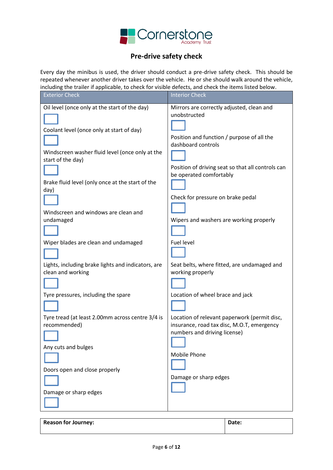

#### **Pre-drive safety check**

Every day the minibus is used, the driver should conduct a pre-drive safety check. This should be repeated whenever another driver takes over the vehicle. He or she should walk around the vehicle, including the trailer if applicable, to check for visible defects, and check the items listed below.

| p.p<br><b>Exterior Check</b>                                            | <b>Interior Check</b>                                                                                                      |
|-------------------------------------------------------------------------|----------------------------------------------------------------------------------------------------------------------------|
| Oil level (once only at the start of the day)                           | Mirrors are correctly adjusted, clean and<br>unobstructed                                                                  |
| Coolant level (once only at start of day)                               | Position and function / purpose of all the<br>dashboard controls                                                           |
| Windscreen washer fluid level (once only at the<br>start of the day)    | Position of driving seat so that all controls can                                                                          |
| Brake fluid level (only once at the start of the<br>day)                | be operated comfortably                                                                                                    |
| Windscreen and windows are clean and                                    | Check for pressure on brake pedal                                                                                          |
| undamaged                                                               | Wipers and washers are working properly                                                                                    |
| Wiper blades are clean and undamaged                                    | Fuel level                                                                                                                 |
| Lights, including brake lights and indicators, are<br>clean and working | Seat belts, where fitted, are undamaged and<br>working properly                                                            |
| Tyre pressures, including the spare                                     | Location of wheel brace and jack                                                                                           |
| Tyre tread (at least 2.00mm across centre 3/4 is<br>recommended)        | Location of relevant paperwork (permit disc,<br>insurance, road tax disc, M.O.T, emergency<br>numbers and driving license) |
| Any cuts and bulges                                                     | Mobile Phone                                                                                                               |
| Doors open and close properly                                           | Damage or sharp edges                                                                                                      |
| Damage or sharp edges                                                   |                                                                                                                            |

| Reason for Journey: | Date: |
|---------------------|-------|
|                     |       |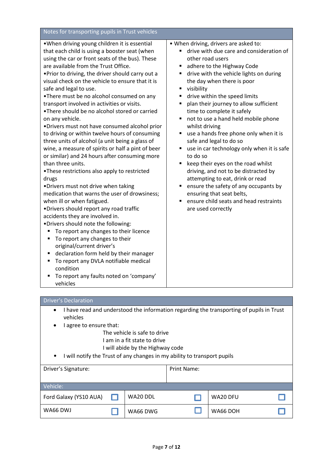| Notes for transporting pupils in Trust vehicles                                                                                                                                                                                                                                                                                                                                                                                                                                                                                                                                                                                                                                                                                                                                                                                                                                                                                                                                                                                                                                                                                                                                                                                                                                                                                                                          |                                                                                                                                                                                                                                                                                                                                                                                                                                                                                                                                                                                                                                                                                                                                                                                                                                  |
|--------------------------------------------------------------------------------------------------------------------------------------------------------------------------------------------------------------------------------------------------------------------------------------------------------------------------------------------------------------------------------------------------------------------------------------------------------------------------------------------------------------------------------------------------------------------------------------------------------------------------------------------------------------------------------------------------------------------------------------------------------------------------------------------------------------------------------------------------------------------------------------------------------------------------------------------------------------------------------------------------------------------------------------------------------------------------------------------------------------------------------------------------------------------------------------------------------------------------------------------------------------------------------------------------------------------------------------------------------------------------|----------------------------------------------------------------------------------------------------------------------------------------------------------------------------------------------------------------------------------------------------------------------------------------------------------------------------------------------------------------------------------------------------------------------------------------------------------------------------------------------------------------------------------------------------------------------------------------------------------------------------------------------------------------------------------------------------------------------------------------------------------------------------------------------------------------------------------|
| . When driving young children it is essential<br>that each child is using a booster seat (when<br>using the car or front seats of the bus). These<br>are available from the Trust Office.<br>. Prior to driving, the driver should carry out a<br>visual check on the vehicle to ensure that it is<br>safe and legal to use.<br>. There must be no alcohol consumed on any<br>transport involved in activities or visits.<br>•There should be no alcohol stored or carried<br>on any vehicle.<br>. Drivers must not have consumed alcohol prior<br>to driving or within twelve hours of consuming<br>three units of alcohol (a unit being a glass of<br>wine, a measure of spirits or half a pint of beer<br>or similar) and 24 hours after consuming more<br>than three units.<br>.These restrictions also apply to restricted<br>drugs<br>. Drivers must not drive when taking<br>medication that warns the user of drowsiness;<br>when ill or when fatigued.<br>•Drivers should report any road traffic<br>accidents they are involved in.<br>.Drivers should note the following:<br>To report any changes to their licence<br>٠<br>To report any changes to their<br>Е<br>original/current driver's<br>declaration form held by their manager<br>٠<br>To report any DVLA notifiable medical<br>٠<br>condition<br>To report any faults noted on 'company'<br>vehicles | . When driving, drivers are asked to:<br>drive with due care and consideration of<br>other road users<br>adhere to the Highway Code<br>٠<br>drive with the vehicle lights on during<br>٠<br>the day when there is poor<br>visibility<br>٠<br>drive within the speed limits<br>п<br>plan their journey to allow sufficient<br>٠<br>time to complete it safely<br>not to use a hand held mobile phone<br>٠<br>whilst driving<br>use a hands free phone only when it is<br>safe and legal to do so<br>use in car technology only when it is safe<br>Ξ<br>to do so<br>keep their eyes on the road whilst<br>٠<br>driving, and not to be distracted by<br>attempting to eat, drink or read<br>ensure the safety of any occupants by<br>٠<br>ensuring that seat belts,<br>ensure child seats and head restraints<br>are used correctly |

#### Driver's Declaration

- I have read and understood the information regarding the transporting of pupils in Trust vehicles
- I agree to ensure that:
	- The vehicle is safe to drive
	- I am in a fit state to drive
	- I will abide by the Highway code
- I will notify the Trust of any changes in my ability to transport pupils

| Driver's Signature:    |          | Print Name: |          |  |
|------------------------|----------|-------------|----------|--|
| Vehicle:               |          |             |          |  |
| Ford Galaxy (YS10 AUA) | WA20 DDL |             | WA20 DFU |  |
| WA66 DWJ               | WA66 DWG |             | WA66 DOH |  |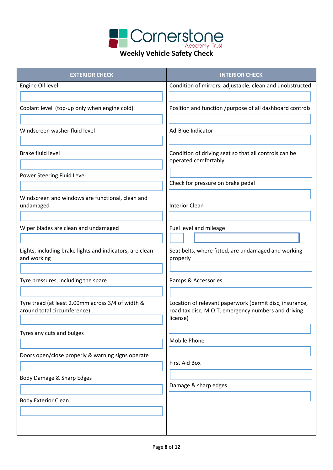

#### **Weekly Vehicle Safety Check**

| <b>EXTERIOR CHECK</b>                                                            | <b>INTERIOR CHECK</b>                                                                                                      |
|----------------------------------------------------------------------------------|----------------------------------------------------------------------------------------------------------------------------|
| Engine Oil level                                                                 | Condition of mirrors, adjustable, clean and unobstructed                                                                   |
|                                                                                  |                                                                                                                            |
| Coolant level (top-up only when engine cold)                                     | Position and function /purpose of all dashboard controls                                                                   |
|                                                                                  |                                                                                                                            |
| Windscreen washer fluid level                                                    | Ad-Blue Indicator                                                                                                          |
| <b>Brake fluid level</b>                                                         | Condition of driving seat so that all controls can be<br>operated comfortably                                              |
| Power Steering Fluid Level                                                       |                                                                                                                            |
|                                                                                  | Check for pressure on brake pedal                                                                                          |
| Windscreen and windows are functional, clean and                                 |                                                                                                                            |
| undamaged                                                                        | <b>Interior Clean</b>                                                                                                      |
|                                                                                  |                                                                                                                            |
| Wiper blades are clean and undamaged                                             | Fuel level and mileage                                                                                                     |
|                                                                                  |                                                                                                                            |
| Lights, including brake lights and indicators, are clean<br>and working          | Seat belts, where fitted, are undamaged and working<br>properly                                                            |
| Tyre pressures, including the spare                                              | Ramps & Accessories                                                                                                        |
|                                                                                  |                                                                                                                            |
| Tyre tread (at least 2.00mm across 3/4 of width &<br>around total circumference) | Location of relevant paperwork (permit disc, insurance,<br>road tax disc, M.O.T, emergency numbers and driving<br>license) |
| Tyres any cuts and bulges                                                        |                                                                                                                            |
|                                                                                  | <b>Mobile Phone</b>                                                                                                        |
| Doors open/close properly & warning signs operate                                |                                                                                                                            |
|                                                                                  | <b>First Aid Box</b>                                                                                                       |
| Body Damage & Sharp Edges                                                        |                                                                                                                            |
|                                                                                  | Damage & sharp edges                                                                                                       |
| <b>Body Exterior Clean</b>                                                       |                                                                                                                            |
|                                                                                  |                                                                                                                            |
|                                                                                  |                                                                                                                            |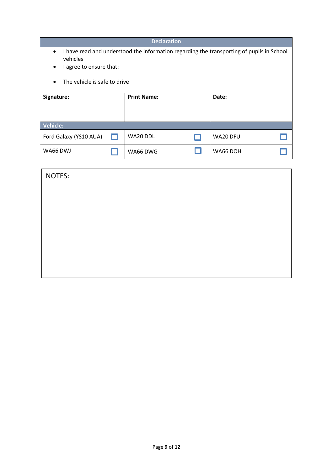|                                                                                                                                                    |                                           | <b>Declaration</b> |  |          |  |
|----------------------------------------------------------------------------------------------------------------------------------------------------|-------------------------------------------|--------------------|--|----------|--|
| I have read and understood the information regarding the transporting of pupils in School<br>$\bullet$<br>vehicles<br>I agree to ensure that:<br>٠ |                                           |                    |  |          |  |
|                                                                                                                                                    | The vehicle is safe to drive<br>$\bullet$ |                    |  |          |  |
| Signature:                                                                                                                                         |                                           | <b>Print Name:</b> |  | Date:    |  |
| <b>Vehicle:</b>                                                                                                                                    |                                           |                    |  |          |  |
| Ford Galaxy (YS10 AUA)                                                                                                                             | H                                         | WA20 DDL           |  | WA20 DFU |  |
| WA66 DWJ                                                                                                                                           |                                           | WA66 DWG           |  | WA66 DOH |  |

| NOTES: |  |  |  |
|--------|--|--|--|
|        |  |  |  |
|        |  |  |  |
|        |  |  |  |
|        |  |  |  |
|        |  |  |  |
|        |  |  |  |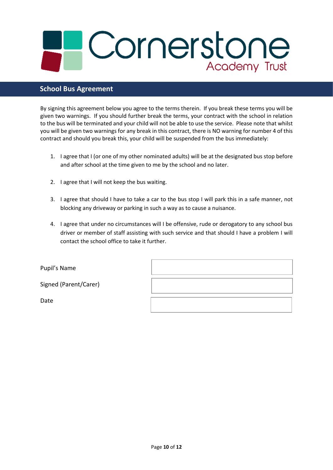# Cornerstone Academy Trust

#### **School Bus Agreement**

By signing this agreement below you agree to the terms therein. If you break these terms you will be given two warnings. If you should further break the terms, your contract with the school in relation to the bus will be terminated and your child will not be able to use the service. Please note that whilst you will be given two warnings for any break in this contract, there is NO warning for number 4 of this contract and should you break this, your child will be suspended from the bus immediately:

- 1. I agree that I (or one of my other nominated adults) will be at the designated bus stop before and after school at the time given to me by the school and no later.
- 2. I agree that I will not keep the bus waiting.
- 3. I agree that should I have to take a car to the bus stop I will park this in a safe manner, not blocking any driveway or parking in such a way as to cause a nuisance.
- 4. I agree that under no circumstances will I be offensive, rude or derogatory to any school bus driver or member of staff assisting with such service and that should I have a problem I will contact the school office to take it further.

| Pupil's Name          |  |
|-----------------------|--|
| Signed (Parent/Carer) |  |
| Date                  |  |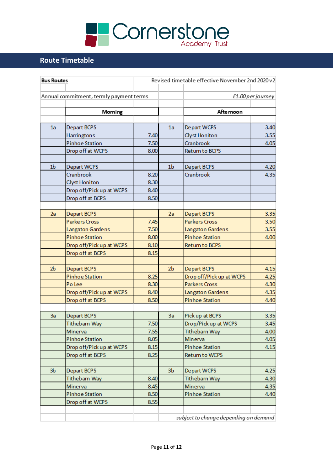

#### **Route Timetable**

| <b>Bus Routes</b> |                                         |      | Revised timetable effective November 2nd 2020 v2 |                                       |                   |  |
|-------------------|-----------------------------------------|------|--------------------------------------------------|---------------------------------------|-------------------|--|
|                   |                                         |      |                                                  |                                       |                   |  |
|                   | Annual commitment, termly payment terms |      |                                                  |                                       | £1.00 per journey |  |
|                   | Morning                                 |      |                                                  | Afte moon                             |                   |  |
|                   |                                         |      |                                                  |                                       |                   |  |
| 1a                | Depart BCPS                             |      | 1a                                               | Depart WCPS                           | 3.40              |  |
|                   | <b>Harringtons</b>                      | 7.40 |                                                  | Clyst Honiton                         | 3.55              |  |
|                   | <b>Pinhoe Station</b>                   | 7.50 |                                                  | Cranbrook                             | 4.05              |  |
|                   | Drop off at WCPS                        | 8.00 |                                                  | Return to BCPS                        |                   |  |
| 1 <sub>b</sub>    | Depart WCPS                             |      | 1 <sub>b</sub>                                   | Depart BCPS                           | 4.20              |  |
|                   | Cranbrook                               | 8.20 |                                                  | Cranbrook                             | 4.35              |  |
|                   | <b>Clyst Honiton</b>                    | 8.30 |                                                  |                                       |                   |  |
|                   | Drop off/Pick up at WCPS                | 8.40 |                                                  |                                       |                   |  |
|                   | Drop off at BCPS                        | 8.50 |                                                  |                                       |                   |  |
|                   |                                         |      |                                                  |                                       |                   |  |
| 2a                | Depart BCPS                             |      | 2a                                               | Depart BCPS                           | 3.35              |  |
|                   | Parkers Cross                           | 7.45 |                                                  | Parkers Cross                         | 3.50              |  |
|                   | Langaton Gardens                        | 7.50 |                                                  | Langaton Gardens                      | 3.55              |  |
|                   | <b>Pinhoe Station</b>                   | 8.00 |                                                  | <b>Pinhoe Station</b>                 | 4.00              |  |
|                   | Drop off/Pick up at WCPS                | 8.10 |                                                  | <b>Return to BCPS</b>                 |                   |  |
|                   | Drop off at BCPS                        | 8.15 |                                                  |                                       |                   |  |
| 2 <sub>b</sub>    | Depart BCPS                             |      | 2 <sub>b</sub>                                   | Depart BCPS                           | 4.15              |  |
|                   | <b>Pinhoe Station</b>                   | 8.25 |                                                  | Drop off/Pick up at WCPS              | 4.25              |  |
|                   | Po Lee                                  | 8.30 |                                                  | Parkers Cross                         | 4.30              |  |
|                   | Drop off/Pick up at WCPS                | 8.40 |                                                  | Langaton Gardens                      | 4.35              |  |
|                   | Drop off at BCPS                        | 8.50 |                                                  | <b>Pinhoe Station</b>                 | 4.40              |  |
|                   |                                         |      |                                                  |                                       |                   |  |
| 3a                | Depart BCPS                             |      | 3a                                               | Pick up at BCPS                       | 3.35              |  |
|                   | <b>Tithebarn Way</b>                    | 7.50 |                                                  | Drop/Pick up at WCPS                  | 3.45              |  |
|                   | Minerva                                 | 7.55 |                                                  | Tithebarn Way                         | 4.00              |  |
|                   | <b>Pinhoe Station</b>                   | 8.05 |                                                  | Minerva                               | 4.05              |  |
|                   | Drop off/Pick up at WCPS                | 8.15 |                                                  | Pinhoe Station                        | 4.15              |  |
|                   | Drop off at BCPS                        | 8.25 |                                                  | Return to WCPS                        |                   |  |
| 3b                | Depart BCPS                             |      | 3b                                               | Depart WCPS                           | 4.25              |  |
|                   | Tithebarn Way                           | 8.40 |                                                  | <b>Tithebarn Way</b>                  | 4.30              |  |
|                   | Minerva                                 | 8.45 |                                                  | Minerva                               | 4.35              |  |
|                   | <b>Pinhoe Station</b>                   | 8.50 |                                                  | <b>Pinhoe Station</b>                 | 4.40              |  |
|                   | Drop off at WCPS                        | 8.55 |                                                  |                                       |                   |  |
|                   |                                         |      |                                                  |                                       |                   |  |
|                   |                                         |      |                                                  | subject to change depending on demand |                   |  |